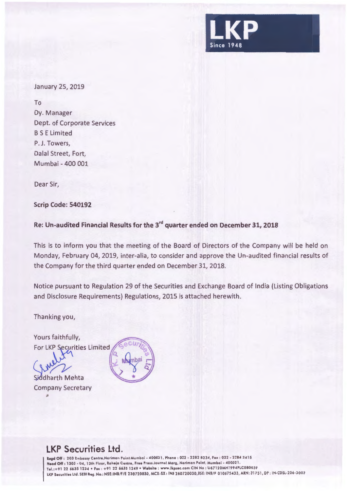

January 25, 2019

To Dy. Manager Dept. of Corporate Services BS E Limited P. J. Towers, Dalal Street, Fort, Mumbai - 400 001

Dear Sir,

**Scrip Code: 540192** 

**Re: Un-audited Financial Results for the 3rd quarter ended on December 31, 2018** 

This is to inform you that the meeting of the Board of Directors of the Company will be held on Monday, February 04, 2019, inter-alia, to consider and approve the Un-audited financial results of the Company for the third quarter ended on December 31, 2018.

Notice pursuant to Regulation 29 of the Securities and Exchange Board of India (Listing Obligations and Disclosure Requirements) Regulations, 2015 is attached herewith.

Thanking you,

Yours faithfully,

For LKP Securities Limited

Siddharth Mehta Company Secretary

*II* 



## **LKP Securities Ltd.**

**legd** Off : 203 Embassy Centre,Nariman Point Mumba i - 400021 . Phone : 022 • 2282 8234, Fox : 022 · 2284 2415 Head Off : 1303 - 04, 13th Floor, Raheja Centre, Free Press Journal Marg, Nariman Point, Mumbai - 400021. Tel. :+912266351234 •Fax : +91 22 6635 1249 •Website : www.lkpsec.com CIN No : U67120MH1994PLC080039 LKP Securities Ltd. SEBI Reg. No.: NSE:INB/F/E 230720030, MCX-SX: INE 260720030, BSE: INB/F 010675433, ARN: 31751, DP : IN-CDSL-206-2003